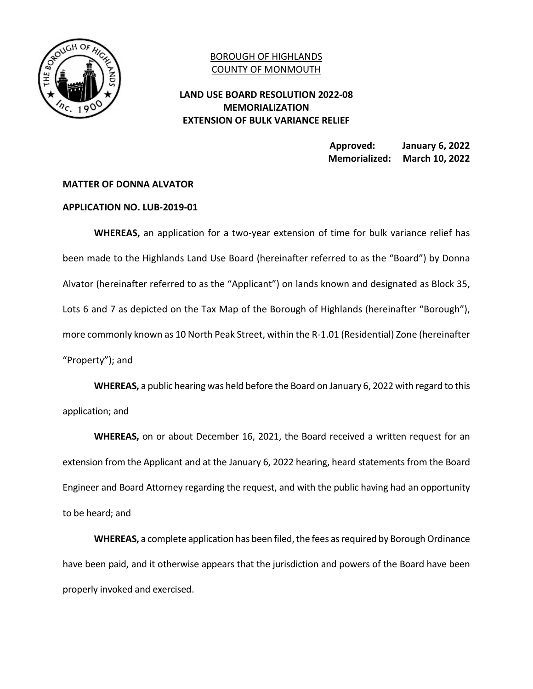

## BOROUGH OF HIGHLANDS COUNTY OF MONMOUTH

## **LAND USE BOARD RESOLUTION 2022-08 MEMORIALIZATION EXTENSION OF BULK VARIANCE RELIEF**

 **Approved: January 6, 2022 Memorialized: March 10, 2022** 

## **MATTER OF DONNA ALVATOR**

## **APPLICATION NO. LUB-2019-01**

 **WHEREAS,** an application for a two-year extension of time for bulk variance relief has been made to the Highlands Land Use Board (hereinafter referred to as the "Board") by Donna Alvator (hereinafter referred to as the "Applicant") on lands known and designated as Block 35, Lots 6 and 7 as depicted on the Tax Map of the Borough of Highlands (hereinafter "Borough"), more commonly known as 10 North Peak Street, within the R-1.01 (Residential) Zone (hereinafter "Property"); and

 **WHEREAS,** a public hearing was held before the Board on January 6, 2022 with regard to this application; and

 **WHEREAS,** on or about December 16, 2021, the Board received a written request for an extension from the Applicant and at the January 6, 2022 hearing, heard statements from the Board Engineer and Board Attorney regarding the request, and with the public having had an opportunity to be heard; and

 **WHEREAS,** a complete application has been filed, the fees as required by Borough Ordinance have been paid, and it otherwise appears that the jurisdiction and powers of the Board have been properly invoked and exercised.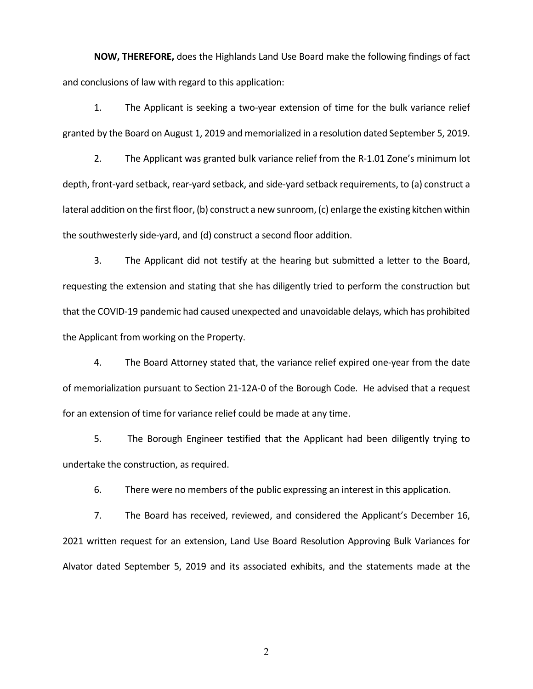**NOW, THEREFORE,** does the Highlands Land Use Board make the following findings of fact and conclusions of law with regard to this application:

1. The Applicant is seeking a two-year extension of time for the bulk variance relief granted by the Board on August 1, 2019 and memorialized in a resolution dated September 5, 2019.

2. The Applicant was granted bulk variance relief from the R-1.01 Zone's minimum lot depth, front-yard setback, rear-yard setback, and side-yard setback requirements, to (a) construct a lateral addition on the first floor, (b) construct a new sunroom, (c) enlarge the existing kitchen within the southwesterly side-yard, and (d) construct a second floor addition.

3. The Applicant did not testify at the hearing but submitted a letter to the Board, requesting the extension and stating that she has diligently tried to perform the construction but that the COVID-19 pandemic had caused unexpected and unavoidable delays, which has prohibited the Applicant from working on the Property.

4. The Board Attorney stated that, the variance relief expired one-year from the date of memorialization pursuant to Section 21-12A-0 of the Borough Code. He advised that a request for an extension of time for variance relief could be made at any time.

5. The Borough Engineer testified that the Applicant had been diligently trying to undertake the construction, as required.

6. There were no members of the public expressing an interest in this application.

7. The Board has received, reviewed, and considered the Applicant's December 16, 2021 written request for an extension, Land Use Board Resolution Approving Bulk Variances for Alvator dated September 5, 2019 and its associated exhibits, and the statements made at the

2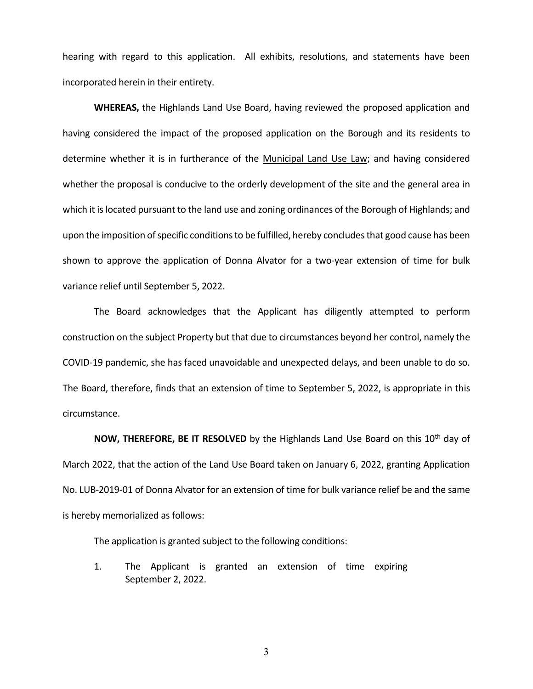hearing with regard to this application. All exhibits, resolutions, and statements have been incorporated herein in their entirety.

 **WHEREAS,** the Highlands Land Use Board, having reviewed the proposed application and having considered the impact of the proposed application on the Borough and its residents to determine whether it is in furtherance of the Municipal Land Use Law; and having considered whether the proposal is conducive to the orderly development of the site and the general area in which it is located pursuant to the land use and zoning ordinances of the Borough of Highlands; and upon the imposition of specific conditions to be fulfilled, hereby concludes that good cause has been shown to approve the application of Donna Alvator for a two-year extension of time for bulk variance relief until September 5, 2022.

 The Board acknowledges that the Applicant has diligently attempted to perform construction on the subject Property but that due to circumstances beyond her control, namely the COVID-19 pandemic, she has faced unavoidable and unexpected delays, and been unable to do so. The Board, therefore, finds that an extension of time to September 5, 2022, is appropriate in this circumstance.

**NOW, THEREFORE, BE IT RESOLVED** by the Highlands Land Use Board on this 10<sup>th</sup> day of March 2022, that the action of the Land Use Board taken on January 6, 2022, granting Application No. LUB-2019-01 of Donna Alvator for an extension of time for bulk variance relief be and the same is hereby memorialized as follows:

The application is granted subject to the following conditions:

1. The Applicant is granted an extension of time expiring September 2, 2022.

3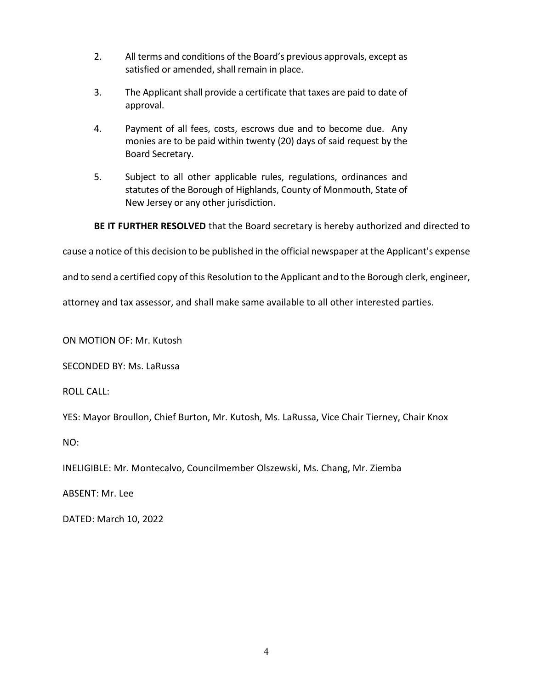- 2. All terms and conditions of the Board's previous approvals, except as satisfied or amended, shall remain in place.
- 3. The Applicant shall provide a certificate that taxes are paid to date of approval.
- 4. Payment of all fees, costs, escrows due and to become due. Any monies are to be paid within twenty (20) days of said request by the Board Secretary.
- 5. Subject to all other applicable rules, regulations, ordinances and statutes of the Borough of Highlands, County of Monmouth, State of New Jersey or any other jurisdiction.

**BE IT FURTHER RESOLVED** that the Board secretary is hereby authorized and directed to

cause a notice of this decision to be published in the official newspaper at the Applicant's expense

and to send a certified copy of this Resolution to the Applicant and to the Borough clerk, engineer,

attorney and tax assessor, and shall make same available to all other interested parties.

ON MOTION OF: Mr. Kutosh

SECONDED BY: Ms. LaRussa

ROLL CALL:

YES: Mayor Broullon, Chief Burton, Mr. Kutosh, Ms. LaRussa, Vice Chair Tierney, Chair Knox

NO:

INELIGIBLE: Mr. Montecalvo, Councilmember Olszewski, Ms. Chang, Mr. Ziemba

ABSENT: Mr. Lee

DATED: March 10, 2022